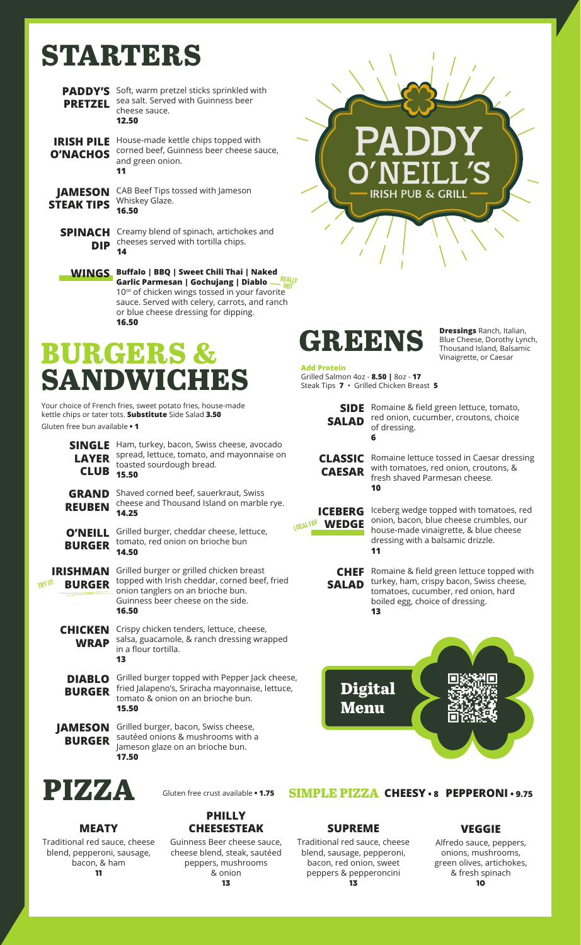## **STARTERS**

| <b>PADDY'S</b><br><b>PRETZEL</b>     | Soft, warm pretzel sticks sprinkled with<br>sea salt. Served with Guinness beer<br>cheese sauce.<br>12.50                                                                                                                                           |
|--------------------------------------|-----------------------------------------------------------------------------------------------------------------------------------------------------------------------------------------------------------------------------------------------------|
| <b>IRISH PILE</b><br><b>O'NACHOS</b> | House-made kettle chips topped with<br>corned beef, Guinness beer cheese sauce,<br>and green onion.<br>11                                                                                                                                           |
| <b>JAMESON</b><br><b>STEAK TIPS</b>  | CAB Beef Tips tossed with Jameson<br>Whiskey Glaze.<br>16.50                                                                                                                                                                                        |
| <b>SPINACH</b><br><b>DIP</b>         | Creamy blend of spinach, artichokes and<br>cheeses served with tortilla chips.                                                                                                                                                                      |
|                                      | <b>WINGS</b> Buffalo   BBQ   Sweet Chili Thai   Naked<br>Garlic Parmesan   Gochujang   Diablo<br>10 <sup>oz</sup> of chicken wings tossed in your favorite<br>sauce. Served with celery, carrots, and ranch<br>or blue cheese dressing for dipping. |

**16.50**

## **BURGERS SANDWICHES**

Your choice of French fries, sweet potato fries, house-made kettle chips or tater tots. **Substitute** Side Salad **3.50** Gluten free bun available **• 1**

| <b>SINGLE</b><br><b>LAYER</b><br><b>CLUB</b>       | Ham, turkey, bacon, Swiss cheese, avocado<br>spread, lettuce, tomato, and mayonnaise on<br>toasted sourdough bread.<br>15.50                                                 |
|----------------------------------------------------|------------------------------------------------------------------------------------------------------------------------------------------------------------------------------|
| <b>GRAND</b><br><b>REUBEN</b>                      | Shaved corned beef, sauerkraut, Swiss<br>cheese and Thousand Island on marble rye.<br>14.25                                                                                  |
| <b>O'NEILL</b><br><b>BURGER</b>                    | ιØ<br>Grilled burger, cheddar cheese, lettuce,<br>tomato, red onion on brioche bun<br>14.50                                                                                  |
| <b>IRISHMAN</b><br><b>TRY IT!</b><br><b>BURGER</b> | Grilled burger or grilled chicken breast<br>topped with Irish cheddar, corned beef, fried<br>onion tanglers on an brioche bun.<br>Guinness beer cheese on the side.<br>16.50 |
| <b>CHICKEN</b><br><b>WRAP</b>                      | Crispy chicken tenders, lettuce, cheese,<br>salsa, guacamole, & ranch dressing wrapped<br>in a flour tortilla.<br>13                                                         |
| <b>DIABLO</b><br><b>BURGER</b>                     | Grilled burger topped with Pepper Jack cheese,<br>fried Jalapeno's, Sriracha mayonnaise, lettuce,<br>tomato & onion on an brioche bun.<br>15.50                              |
| <b>JAMESON</b><br><b>BURGER</b>                    | Grilled burger, bacon, Swiss cheese,<br>sautéed onions & mushrooms with a<br>Jameson glaze on an brioche bun.<br>17.50                                                       |



**MEATY** Traditional red sauce, cheese blend, pepperoni, sausage, bacon, & ham 11

#### **PHILLY CHEESESTEAK**

Guinness Beer cheese sauce, cheese blend, steak, sautéed peppers, mushrooms & onion



#### **SUPREME**

Traditional red sauce, cheese blend, sausage, pepperoni, bacon, red onion, sweet peppers & pepperoncini 13

**VEGGIE**

#### Alfredo sauce, peppers, onions, mushrooms, green olives, artichokes, & fresh spinach 10

# **PUB & GRILI**



Steak Tips **7** • Grilled Chicken Breast **5**

**Dressings** Ranch, Italian, Blue Cheese, Dorothy Lynch, Thousand Island, Balsamic Vinaigrette, or Caesar

**Add Protein**  Grilled Salmon 4oz - **8.50 |** 8oz - **17** 

**SIDE**  Romaine & field green lettuce, tomato, **SALAD** red onion, cucumber, croutons, choice of dressing. **6**

**CLASSIC**  Romaine lettuce tossed in Caesar dressing **CAESAR** with tomatoes, red onion, croutons, & fresh shaved Parmesan cheese. **10**

**ICEBERG** Iceberg wedge topped with tomatoes, red LOCAL<sup>FIN</sup> **WEDGE** onion, bacon, blue cheese crumbles, our house-made vinaigrette, & blue cheese dressing with a balsamic drizzle. **11**

> **CHEF** Romaine & field green lettuce topped with **SALAD** turkey, ham, crispy bacon, Swiss cheese, tomatoes, cucumber, red onion, hard boiled egg, choice of dressing. **13**